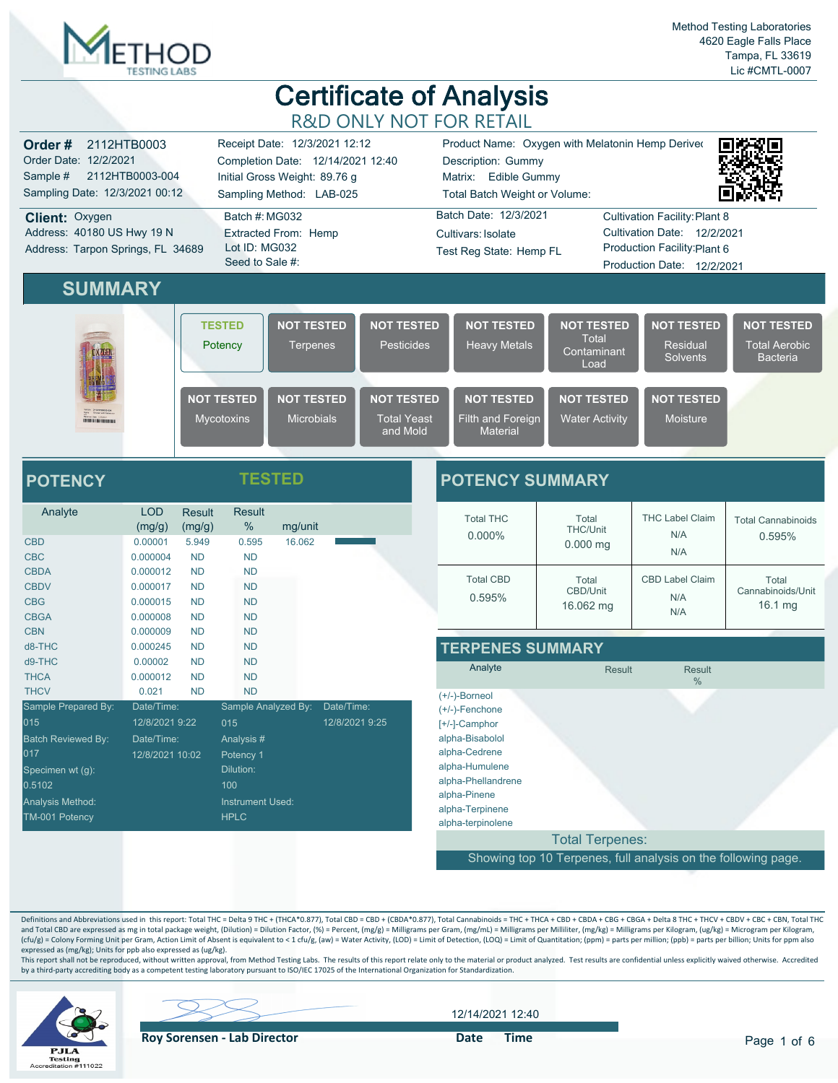

| Order#<br>2112HTB0003<br>Order Date: 12/2/2021<br>2112HTB0003-004<br>Sample #<br>Sampling Date: 12/3/2021 00:12 | Receipt Date: 12/3/2021 12:12<br>Completion Date: 12/14/2021 12:40<br>Initial Gross Weight: 89.76 g<br>Sampling Method: LAB-025 |                                                                        |                                                     | Product Name: Oxygen with Melatonin Hemp Deriver<br>Description: Gummy<br>Matrix: Edible Gummy<br>Total Batch Weight or Volume: |                                                                                                                                                           |                                                  |                                                              |  |
|-----------------------------------------------------------------------------------------------------------------|---------------------------------------------------------------------------------------------------------------------------------|------------------------------------------------------------------------|-----------------------------------------------------|---------------------------------------------------------------------------------------------------------------------------------|-----------------------------------------------------------------------------------------------------------------------------------------------------------|--------------------------------------------------|--------------------------------------------------------------|--|
| <b>Client: Oxygen</b><br>Address: 40180 US Hwy 19 N<br>Address: Tarpon Springs, FL 34689                        | Batch #: MG032<br>Lot ID: MG032<br>Seed to Sale #:                                                                              | Batch Date: 12/3/2021<br>Cultivars: Isolate<br>Test Reg State: Hemp FL |                                                     |                                                                                                                                 | <b>Cultivation Facility: Plant 8</b><br>Cultivation Date: 12/2/2021<br>Extracted From: Hemp<br>Production Facility: Plant 6<br>Production Date: 12/2/2021 |                                                  |                                                              |  |
| <b>SUMMARY</b>                                                                                                  |                                                                                                                                 |                                                                        |                                                     |                                                                                                                                 |                                                                                                                                                           |                                                  |                                                              |  |
|                                                                                                                 | <b>TESTED</b><br>Potency                                                                                                        | <b>NOT TESTED</b><br><b>Terpenes</b>                                   | <b>NOT TESTED</b><br><b>Pesticides</b>              | <b>NOT TESTED</b><br><b>Heavy Metals</b>                                                                                        | <b>NOT TESTED</b><br>Total<br>Contaminant<br>Load                                                                                                         | <b>NOT TESTED</b><br>Residual<br><b>Solvents</b> | <b>NOT TESTED</b><br><b>Total Aerobic</b><br><b>Bacteria</b> |  |
| <b><i>STERN LIGHT DECK WAR</i></b>                                                                              | <b>NOT TESTED</b><br><b>Mycotoxins</b>                                                                                          | <b>NOT TESTED</b><br><b>Microbials</b>                                 | <b>NOT TESTED</b><br><b>Total Yeast</b><br>and Mold | <b>NOT TESTED</b><br>Filth and Foreign<br><b>Material</b>                                                                       | <b>NOT TESTED</b><br><b>Water Activity</b>                                                                                                                | <b>NOT TESTED</b><br>Moisture                    |                                                              |  |
| <b>POTENCY</b>                                                                                                  | TESTED                                                                                                                          |                                                                        |                                                     | <b>POTENCY SUMMARY</b>                                                                                                          |                                                                                                                                                           |                                                  |                                                              |  |

| Analyte                   | <b>LOD</b><br>(mg/g) | <b>Result</b><br>(mg/g) | <b>Result</b><br>%      | mg/unit |                |
|---------------------------|----------------------|-------------------------|-------------------------|---------|----------------|
| <b>CBD</b>                | 0.00001              | 5.949                   | 0.595                   | 16.062  |                |
| <b>CBC</b>                | 0.000004             | <b>ND</b>               | <b>ND</b>               |         |                |
| <b>CBDA</b>               | 0.000012             | <b>ND</b>               | <b>ND</b>               |         |                |
| <b>CBDV</b>               | 0.000017             | <b>ND</b>               | <b>ND</b>               |         |                |
| <b>CBG</b>                | 0.000015             | <b>ND</b>               | <b>ND</b>               |         |                |
| <b>CBGA</b>               | 0.000008             | <b>ND</b>               | <b>ND</b>               |         |                |
| <b>CBN</b>                | 0.000009             | <b>ND</b>               | <b>ND</b>               |         |                |
| d8-THC                    | 0.000245             | <b>ND</b>               | <b>ND</b>               |         |                |
| d9-THC                    | 0.00002              | <b>ND</b>               | <b>ND</b>               |         |                |
| <b>THCA</b>               | 0.000012             | <b>ND</b>               | <b>ND</b>               |         |                |
| <b>THCV</b>               | 0.021                | <b>ND</b>               | <b>ND</b>               |         |                |
| Sample Prepared By:       | Date/Time:           |                         | Sample Analyzed By:     |         | Date/Time:     |
| 015                       | 12/8/2021 9:22       |                         | 015                     |         | 12/8/2021 9:25 |
| <b>Batch Reviewed By:</b> | Date/Time:           |                         | Analysis#               |         |                |
| 017                       | 12/8/2021 10:02      |                         | Potency 1               |         |                |
| Specimen wt (g):          |                      |                         | Dilution:               |         |                |
| 0.5102                    |                      |                         | 100                     |         |                |
| Analysis Method:          |                      |                         | <b>Instrument Used:</b> |         |                |
| TM-001 Potency            |                      |                         | <b>HPLC</b>             |         |                |

| UTENUT SUMMANT                |                                        |                                      |                                       |  |  |  |  |  |  |
|-------------------------------|----------------------------------------|--------------------------------------|---------------------------------------|--|--|--|--|--|--|
| <b>Total THC</b><br>$0.000\%$ | Total<br><b>THC/Unit</b><br>$0.000$ mg | <b>THC Label Claim</b><br>N/A<br>N/A | <b>Total Cannabinoids</b><br>0.595%   |  |  |  |  |  |  |
| <b>Total CBD</b><br>0.595%    | Total<br>CBD/Unit<br>16.062 mg         | CBD Label Claim<br>N/A<br>N/A        | Total<br>Cannabinoids/Unit<br>16.1 mg |  |  |  |  |  |  |

| <b>TERPENES SUMMARY</b> |  |  |  |  |  |  |
|-------------------------|--|--|--|--|--|--|
|-------------------------|--|--|--|--|--|--|

| Analyte                                  | <b>Result</b>          | <b>Result</b><br>$\%$ |      |
|------------------------------------------|------------------------|-----------------------|------|
| $(+/-)$ -Borneol                         |                        |                       |      |
| $(+/-)$ -Fenchone                        |                        |                       |      |
| [+/-]-Camphor                            |                        |                       |      |
| alpha-Bisabolol                          |                        |                       |      |
| alpha-Cedrene                            |                        |                       |      |
| alpha-Humulene                           |                        |                       |      |
| alpha-Phellandrene                       |                        |                       |      |
| alpha-Pinene                             |                        |                       |      |
| alpha-Terpinene                          |                        |                       |      |
| alpha-terpinolene                        |                        |                       |      |
|                                          | <b>Total Terpenes:</b> |                       |      |
| <b>Sales Controller State</b><br><b></b> | $\sim$ $-$<br>$ -$     | <b>Service</b>        | $ -$ |

Showing top 10 Terpenes, full analysis on the following page.

Definitions and Abbreviations used in this report: Total THC = Delta 9 THC + (THCA\*0.877), Total CBD = CBD + (CBDA\*0.877), Total Cannabinoids = THC + THCA + CBD + CBDA + CBGA + CBGA + Delta 8 THC + THCV + CBDV + CBC + CBN, and Total CBD are expressed as mg in total package weight, (Dilution) = Dilution Factor, (%) = Percent, (mg/g) = Milligrams per Gram, (mg/mL) = Milligrams per Milliiter, (mg/kg) = Milligrams per Kilogram, (ug/kg) = Microgr expressed as (mg/kg); Units for ppb also expressed as (ug/kg).

This report shall not be reproduced, without written approval, from Method Testing Labs. The results of this report relate only to the material or product analyzed. Test results are confidential unless explicitly waived ot



12/14/2021 12:40

**Roy Sorensen - Lab Director Container Solution Container Container Pate Time**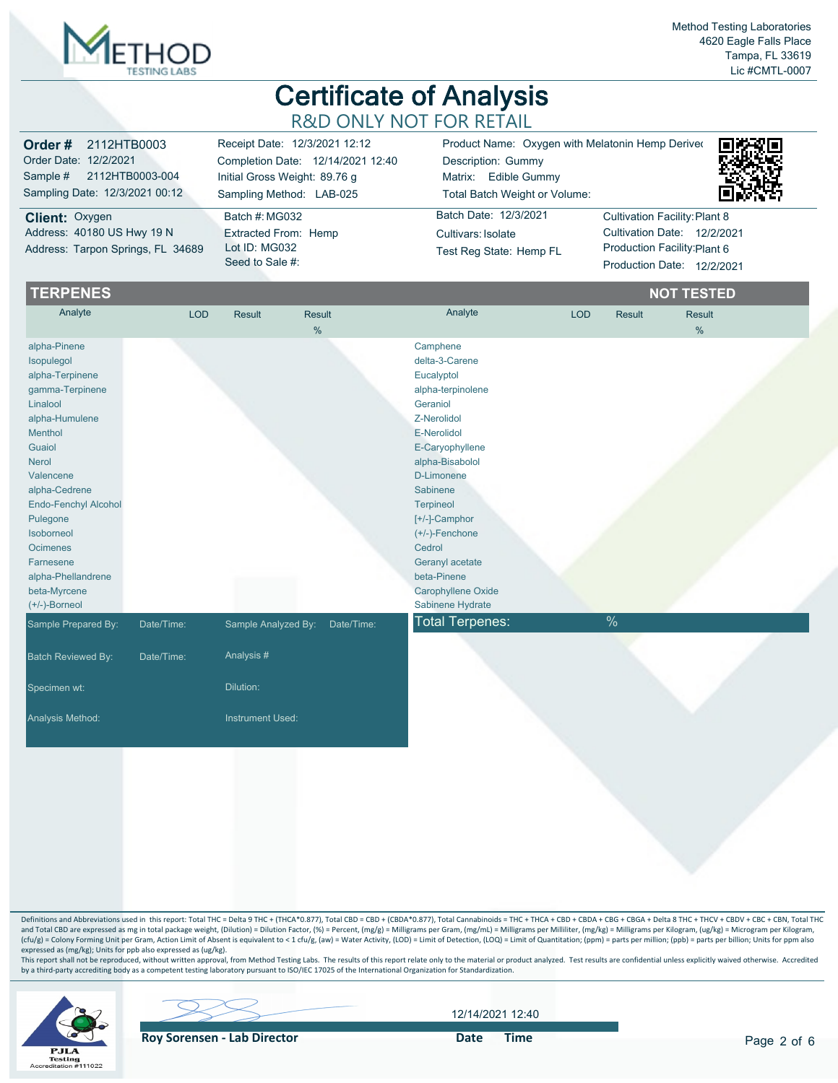

| <b>Order #</b> 2112HTB0003                                                        | Receipt Date: 12/3/2021 12:12                                                     | Product Name: Oxygen with Melatonin Hemp Deriver                       | 奥格洛奥                                                                                                                       |
|-----------------------------------------------------------------------------------|-----------------------------------------------------------------------------------|------------------------------------------------------------------------|----------------------------------------------------------------------------------------------------------------------------|
| Order Date: 12/2/2021                                                             | Completion Date: 12/14/2021 12:40                                                 | Description: Gummy                                                     |                                                                                                                            |
| Sample # 2112HTB0003-004                                                          | Initial Gross Weight: 89.76 g                                                     | Matrix: Edible Gummy                                                   |                                                                                                                            |
| Sampling Date: 12/3/2021 00:12                                                    | Sampling Method: LAB-025                                                          | Total Batch Weight or Volume:                                          |                                                                                                                            |
| Client: Oxygen<br>Address: 40180 US Hwy 19 N<br>Address: Tarpon Springs, FL 34689 | Batch #: MG032<br><b>Extracted From: Hemp</b><br>Lot ID: MG032<br>Seed to Sale #: | Batch Date: 12/3/2021<br>Cultivars: Isolate<br>Test Reg State: Hemp FL | Cultivation Facility: Plant 8<br>Cultivation Date: 12/2/2021<br>Production Facility: Plant 6<br>Production Date: 12/2/2021 |

| <b>TERPENES</b>                                                                                                                                                                                                                                                                                               |            |                     |                         |                                                                                                                                                                                                                                                                                                                         |            |        | <b>NOT TESTED</b>     |  |
|---------------------------------------------------------------------------------------------------------------------------------------------------------------------------------------------------------------------------------------------------------------------------------------------------------------|------------|---------------------|-------------------------|-------------------------------------------------------------------------------------------------------------------------------------------------------------------------------------------------------------------------------------------------------------------------------------------------------------------------|------------|--------|-----------------------|--|
| Analyte                                                                                                                                                                                                                                                                                                       | <b>LOD</b> | <b>Result</b>       | Result<br>$\frac{0}{0}$ | Analyte                                                                                                                                                                                                                                                                                                                 | <b>LOD</b> | Result | <b>Result</b><br>$\%$ |  |
| alpha-Pinene<br>Isopulegol<br>alpha-Terpinene<br>gamma-Terpinene<br>Linalool<br>alpha-Humulene<br>Menthol<br>Guaiol<br><b>Nerol</b><br>Valencene<br>alpha-Cedrene<br>Endo-Fenchyl Alcohol<br>Pulegone<br>Isoborneol<br><b>Ocimenes</b><br>Farnesene<br>alpha-Phellandrene<br>beta-Myrcene<br>$(+/-)$ -Borneol |            |                     |                         | Camphene<br>delta-3-Carene<br>Eucalyptol<br>alpha-terpinolene<br>Geraniol<br>Z-Nerolidol<br>E-Nerolidol<br>E-Caryophyllene<br>alpha-Bisabolol<br>D-Limonene<br>Sabinene<br><b>Terpineol</b><br>[+/-]-Camphor<br>$(+/-)$ -Fenchone<br>Cedrol<br>Geranyl acetate<br>beta-Pinene<br>Carophyllene Oxide<br>Sabinene Hydrate |            |        |                       |  |
| Sample Prepared By:                                                                                                                                                                                                                                                                                           | Date/Time: | Sample Analyzed By: | Date/Time:              | <b>Total Terpenes:</b>                                                                                                                                                                                                                                                                                                  |            | $\%$   |                       |  |
| <b>Batch Reviewed By:</b>                                                                                                                                                                                                                                                                                     | Date/Time: | Analysis #          |                         |                                                                                                                                                                                                                                                                                                                         |            |        |                       |  |
| Specimen wt:                                                                                                                                                                                                                                                                                                  |            | Dilution:           |                         |                                                                                                                                                                                                                                                                                                                         |            |        |                       |  |
| Analysis Method:                                                                                                                                                                                                                                                                                              |            | Instrument Used:    |                         |                                                                                                                                                                                                                                                                                                                         |            |        |                       |  |
|                                                                                                                                                                                                                                                                                                               |            |                     |                         |                                                                                                                                                                                                                                                                                                                         |            |        |                       |  |

Definitions and Abbreviations used in this report: Total THC = Delta 9 THC + (THCA\*0.877), Total CBD = CBD + (CBDA\*0.877), Total Cannabinoids = THC + THCA + CBD + CBDA + CBGA + CBGA + Delta 8 THC + THCV + CBDV + CBC + CBN, and Total CBD are expressed as mg in total package weight, (Dilution) = Dilution Factor, (%) = Percent, (mg/g) = Milligrams per Gram, (mg/mL) = Milligrams per Milliiter, (mg/kg) = Milligrams per Kilogram, (ug/kg) = Microgr expressed as (mg/kg); Units for ppb also expressed as (ug/kg).

This report shall not be reproduced, without written approval, from Method Testing Labs. The results of this report relate only to the material or product analyzed. Test results are confidential unless explicitly waived ot



**Roy Sorensen - Lab Director Container Solution Container Container Pate Time** 

12/14/2021 12:40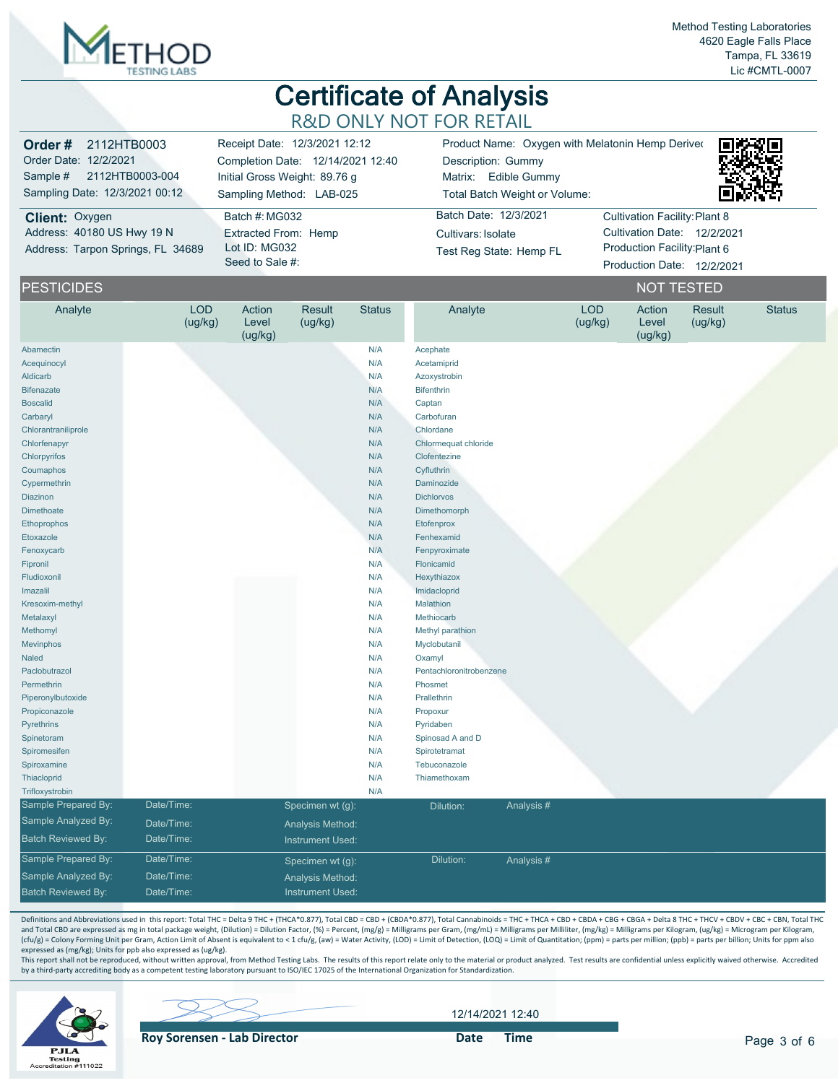

| <b>Order #</b> 2112HTB0003<br>Order Date: 12/2/2021<br>Sample # 2112HTB0003-004 | Receipt Date: 12/3/2021 12:12<br>Completion Date: 12/14/2021 12:40<br>Initial Gross Weight: 89.76 g | Product Name: Oxygen with Melatonin Hemp Deriver<br>Description: Gummy<br>Matrix: Edible Gummy | 同选致同                          |
|---------------------------------------------------------------------------------|-----------------------------------------------------------------------------------------------------|------------------------------------------------------------------------------------------------|-------------------------------|
| Sampling Date: 12/3/2021 00:12                                                  | Sampling Method: LAB-025                                                                            | Total Batch Weight or Volume:                                                                  |                               |
| <b>Client: Oxygen</b>                                                           | Batch #: MG032                                                                                      | Batch Date: 12/3/2021                                                                          | Cultivation Facility: Plant 8 |
| Address: 40180 US Hwy 19 N                                                      | <b>Extracted From: Hemp</b>                                                                         | Cultivars: Isolate                                                                             | Cultivation Date: 12/2/2021   |
| Address: Tarpon Springs, FL 34689                                               | Lot ID: MG032                                                                                       | Test Reg State: Hemp FL                                                                        | Production Facility: Plant 6  |
|                                                                                 | Seed to Sale #:                                                                                     |                                                                                                | Production Date: 12/2/2021    |

| <b>PESTICIDES</b>         |                       |                            |                         |               |                         |           |                       | <b>NOT TESTED</b>          |                   |               |
|---------------------------|-----------------------|----------------------------|-------------------------|---------------|-------------------------|-----------|-----------------------|----------------------------|-------------------|---------------|
| Analyte                   | <b>LOD</b><br>(ug/kg) | Action<br>Level<br>(ug/kg) | Result<br>(ug/kg)       | <b>Status</b> | Analyte                 |           | <b>LOD</b><br>(ug/kg) | Action<br>Level<br>(ug/kg) | Result<br>(ug/kg) | <b>Status</b> |
| Abamectin                 |                       |                            |                         | N/A           | Acephate                |           |                       |                            |                   |               |
| Acequinocyl               |                       |                            |                         | N/A           | Acetamiprid             |           |                       |                            |                   |               |
| <b>Aldicarb</b>           |                       |                            |                         | N/A           | Azoxystrobin            |           |                       |                            |                   |               |
| <b>Bifenazate</b>         |                       |                            |                         | N/A           | <b>Bifenthrin</b>       |           |                       |                            |                   |               |
| <b>Boscalid</b>           |                       |                            |                         | N/A           | Captan                  |           |                       |                            |                   |               |
| Carbaryl                  |                       |                            |                         | N/A           | Carbofuran              |           |                       |                            |                   |               |
| Chlorantraniliprole       |                       |                            |                         | N/A           | Chlordane               |           |                       |                            |                   |               |
| Chlorfenapyr              |                       |                            |                         | N/A           | Chlormequat chloride    |           |                       |                            |                   |               |
| Chlorpyrifos              |                       |                            |                         | N/A           | Clofentezine            |           |                       |                            |                   |               |
| Coumaphos                 |                       |                            |                         | N/A           | Cyfluthrin              |           |                       |                            |                   |               |
| Cypermethrin              |                       |                            |                         | N/A           | Daminozide              |           |                       |                            |                   |               |
| <b>Diazinon</b>           |                       |                            |                         | N/A           | <b>Dichlorvos</b>       |           |                       |                            |                   |               |
| <b>Dimethoate</b>         |                       |                            |                         | N/A           | Dimethomorph            |           |                       |                            |                   |               |
| Ethoprophos               |                       |                            |                         | N/A           | Etofenprox              |           |                       |                            |                   |               |
| Etoxazole                 |                       |                            |                         | N/A           | Fenhexamid              |           |                       |                            |                   |               |
| Fenoxycarb                |                       |                            |                         | N/A           | Fenpyroximate           |           |                       |                            |                   |               |
| Fipronil                  |                       |                            |                         | N/A           | Flonicamid              |           |                       |                            |                   |               |
| Fludioxonil               |                       |                            |                         | N/A           | Hexythiazox             |           |                       |                            |                   |               |
| Imazalil                  |                       |                            |                         | N/A           | Imidacloprid            |           |                       |                            |                   |               |
| Kresoxim-methyl           |                       |                            |                         | N/A           | Malathion               |           |                       |                            |                   |               |
| Metalaxyl                 |                       |                            |                         | N/A           | Methiocarb              |           |                       |                            |                   |               |
| Methomyl                  |                       |                            |                         | N/A           | Methyl parathion        |           |                       |                            |                   |               |
| <b>Mevinphos</b>          |                       |                            |                         | N/A           | Myclobutanil            |           |                       |                            |                   |               |
| <b>Naled</b>              |                       |                            |                         | N/A           | Oxamyl                  |           |                       |                            |                   |               |
| Paclobutrazol             |                       |                            |                         | N/A           | Pentachloronitrobenzene |           |                       |                            |                   |               |
| Permethrin                |                       |                            |                         | N/A           | Phosmet                 |           |                       |                            |                   |               |
| Piperonylbutoxide         |                       |                            |                         | N/A           | Prallethrin             |           |                       |                            |                   |               |
| Propiconazole             |                       |                            |                         | N/A           | Propoxur                |           |                       |                            |                   |               |
| Pyrethrins                |                       |                            |                         | N/A           | Pyridaben               |           |                       |                            |                   |               |
| Spinetoram                |                       |                            |                         | N/A           | Spinosad A and D        |           |                       |                            |                   |               |
| Spiromesifen              |                       |                            |                         | N/A           | Spirotetramat           |           |                       |                            |                   |               |
| Spiroxamine               |                       |                            |                         | N/A           | Tebuconazole            |           |                       |                            |                   |               |
| Thiacloprid               |                       |                            |                         | N/A           | Thiamethoxam            |           |                       |                            |                   |               |
| Trifloxystrobin           |                       |                            |                         | N/A           |                         |           |                       |                            |                   |               |
| Sample Prepared By:       | Date/Time:            |                            | Specimen wt (g):        |               | Dilution:               | Analysis# |                       |                            |                   |               |
| Sample Analyzed By:       | Date/Time:            |                            | Analysis Method:        |               |                         |           |                       |                            |                   |               |
| <b>Batch Reviewed By:</b> | Date/Time:            |                            | <b>Instrument Used:</b> |               |                         |           |                       |                            |                   |               |
| Sample Prepared By:       | Date/Time:            |                            | Specimen wt (g):        |               | Dilution:               | Analysis# |                       |                            |                   |               |
| Sample Analyzed By:       | Date/Time:            |                            | Analysis Method:        |               |                         |           |                       |                            |                   |               |
| <b>Batch Reviewed By:</b> | Date/Time:            |                            | <b>Instrument Used:</b> |               |                         |           |                       |                            |                   |               |
|                           |                       |                            |                         |               |                         |           |                       |                            |                   |               |

Definitions and Abbreviations used in this report: Total THC = Delta 9 THC + (THCA\*0.877), Total CBD = CBD + (CBDA\*0.877), Total Cannabinoids = THC + THCA + CBD + CBDA + CBGA + CBGA + Delta 8 THC + THCV + CBDV + CBC + CBN, and Total CBD are expressed as mg in total package weight, (Dilution) = Dilution Factor, (%) = Percent, (mg/g) = Milligrams per Gram, (mg/mL) = Milligrams per Milliiter, (mg/kg) = Milligrams per Kilogram, (ug/kg) = Microgr expressed as (mg/kg); Units for ppb also expressed as (ug/kg).

This report shall not be reproduced, without written approval, from Method Testing Labs. The results of this report relate only to the material or product analyzed. Test results are confidential unless explicitly waived ot



12/14/2021 12:40

**Roy Sorensen - Lab Director Container Solution Container Solution Container Solution Container Solution Container Solution Container Solution Container Solution Container Solution Container Solution Container Solution C**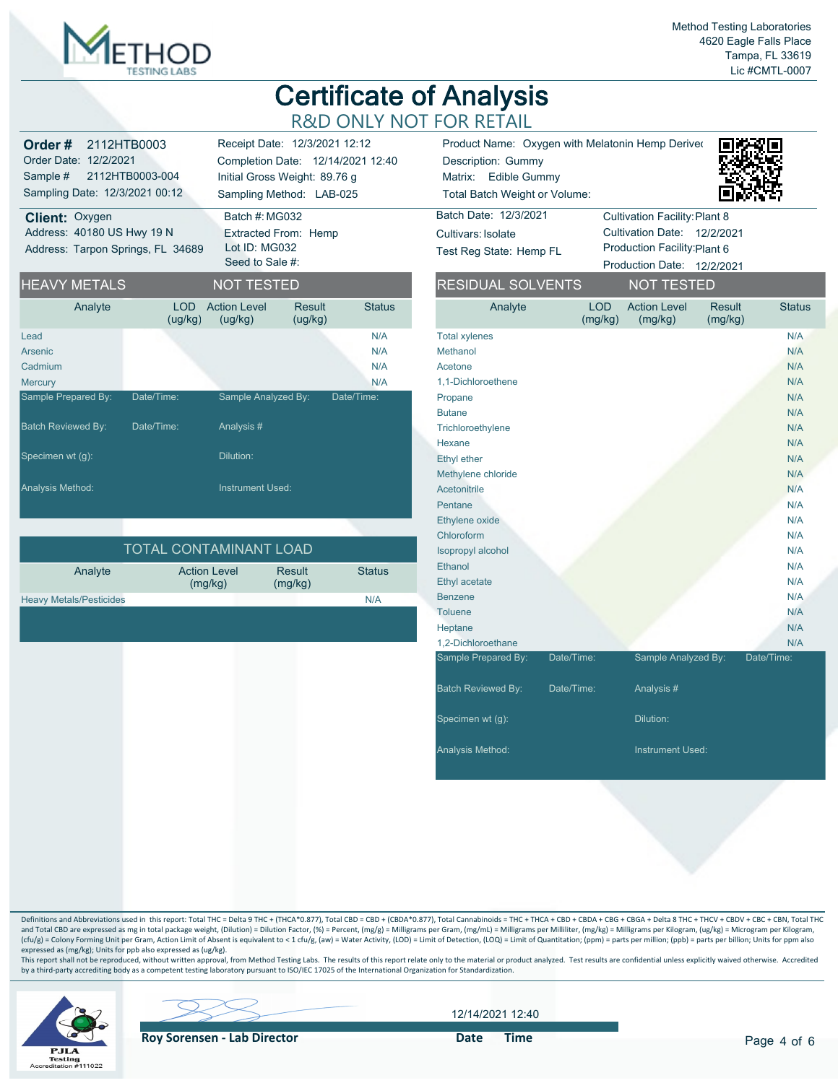

| Order#                            | 2112HTB0003     |                                  | Receipt Date: 12/3/2021 12:12     |               | Product Name: Oxyg           |
|-----------------------------------|-----------------|----------------------------------|-----------------------------------|---------------|------------------------------|
| Order Date: 12/2/2021             |                 |                                  | Completion Date: 12/14/2021 12:40 |               | Description: Gummy           |
| Sample #                          | 2112HTB0003-004 |                                  | Initial Gross Weight: 89.76 g     |               | Edible Gum<br>Matrix:        |
| Sampling Date: 12/3/2021 00:12    |                 |                                  | Sampling Method: LAB-025          |               | <b>Total Batch Weight or</b> |
| <b>Client: Oxygen</b>             |                 | Batch #: MG032                   |                                   |               | Batch Date: 12/3/2021        |
| Address: 40180 US Hwy 19 N        |                 |                                  | Extracted From: Hemp              |               | Cultivars: Isolate           |
| Address: Tarpon Springs, FL 34689 |                 | Lot ID: MG032<br>Seed to Sale #: |                                   |               | Test Reg State: Hemp         |
| <b>HEAVY METALS</b>               |                 | <b>NOT TESTED</b>                |                                   |               | <b>RESIDUAL SOLVI</b>        |
| Analyte                           | I OD<br>(ug/kg) | <b>Action Level</b><br>(ug/kg)   | Result<br>(ug/kg)                 | <b>Status</b> | Analyte                      |
| Lead                              |                 |                                  |                                   | N/A           | <b>Total xylenes</b>         |
| Arsenic                           |                 |                                  |                                   | N/A           | Methanol                     |
| Cadmium                           |                 |                                  |                                   | N/A           | Acetone                      |
| <b>Mercury</b>                    |                 |                                  |                                   | N/A           | 1,1-Dichloroethene           |
| Sample Prepared By:               | Date/Time:      | Sample Analyzed By:              |                                   | Date/Time:    | Propane                      |
|                                   |                 |                                  |                                   |               | <b>Butane</b>                |
| <b>Batch Reviewed By:</b>         | Date/Time:      | Analysis #                       |                                   |               | Trichloroethylene            |
|                                   |                 |                                  |                                   |               | Hexane                       |
| Specimen wt (g):                  |                 | Dilution:                        |                                   |               | <b>Ethyl ether</b>           |

| I TOTAL CONTAMINANT LOAD'      |                                |                          |               |  |  |  |  |  |  |  |
|--------------------------------|--------------------------------|--------------------------|---------------|--|--|--|--|--|--|--|
| Analyte                        | <b>Action Level</b><br>(mq/kg) | <b>Result</b><br>(mg/kg) | <b>Status</b> |  |  |  |  |  |  |  |
| <b>Heavy Metals/Pesticides</b> |                                |                          | N/A           |  |  |  |  |  |  |  |

**Analysis Method: Instrument Used: Instrument Used:** 

| $7 - 1$ , $7 - 1$ , $40/0/0004$                  |  |      |  |
|--------------------------------------------------|--|------|--|
| Total Batch Weight or Volume:                    |  | 回波特特 |  |
| Matrix: Edible Gummy                             |  |      |  |
| Description: Gummy                               |  |      |  |
| Product Name: Oxygen with Melatonin Hemp Deriver |  | 具体组  |  |



| Batch Date: 12/3/2021   | <b>Cultivation Facility: Plant 8</b> |  |
|-------------------------|--------------------------------------|--|
| Cultivars: Isolate      | Cultivation Date: 12/2/2021          |  |
| Test Reg State: Hemp FL | Production Facility: Plant 6         |  |
|                         | Production Date: 12/2/2021           |  |

| <b>RESIDUAL SOLVENTS</b>  |                       | <b>NOT TESTED</b>              |                          |               |
|---------------------------|-----------------------|--------------------------------|--------------------------|---------------|
| Analyte                   | <b>LOD</b><br>(mg/kg) | <b>Action Level</b><br>(mg/kg) | <b>Result</b><br>(mg/kg) | <b>Status</b> |
| <b>Total xylenes</b>      |                       |                                |                          | N/A           |
| Methanol                  |                       |                                |                          | N/A           |
| Acetone                   |                       |                                |                          | N/A           |
| 1,1-Dichloroethene        |                       |                                |                          | N/A           |
| Propane                   |                       |                                |                          | N/A           |
| <b>Butane</b>             |                       |                                |                          | N/A           |
| Trichloroethylene         |                       |                                |                          | N/A           |
| Hexane                    |                       |                                |                          | N/A           |
| Ethyl ether               |                       |                                |                          | N/A           |
| Methylene chloride        |                       |                                |                          | N/A           |
| Acetonitrile              |                       |                                |                          | N/A           |
| Pentane                   |                       |                                |                          | N/A           |
| Ethylene oxide            |                       |                                |                          | N/A           |
| Chloroform                |                       |                                |                          | N/A           |
| Isopropyl alcohol         |                       |                                |                          | N/A           |
| Ethanol                   |                       |                                |                          | N/A           |
| Ethyl acetate             |                       |                                |                          | N/A           |
| <b>Benzene</b>            |                       |                                |                          | N/A           |
| Toluene                   |                       |                                |                          | N/A           |
| Heptane                   |                       |                                |                          | N/A           |
| 1,2-Dichloroethane        |                       |                                |                          | N/A           |
| Sample Prepared By:       | Date/Time:            | Sample Analyzed By:            |                          | Date/Time:    |
| <b>Batch Reviewed By:</b> | Date/Time:            | Analysis #                     |                          |               |
| Specimen wt (g):          |                       | Dilution:                      |                          |               |
| Analysis Method:          |                       | <b>Instrument Used:</b>        |                          |               |

Definitions and Abbreviations used in this report: Total THC = Delta 9 THC + (THCA\*0.877), Total CBD = CBD + (CBDA\*0.877), Total Cannabinoids = THC + THCA + CBD + CBDA + CBGA + CBGA + Delta 8 THC + THCV + CBDV + CBC + CBN, and Total CBD are expressed as mg in total package weight, (Dilution) = Dilution Factor, (%) = Percent, (mg/g) = Milligrams per Gram, (mg/mL) = Milligrams per Milliiter, (mg/kg) = Milligrams per Kilogram, (ug/kg) = Microgr expressed as (mg/kg); Units for ppb also expressed as (ug/kg).

This report shall not be reproduced, without written approval, from Method Testing Labs. The results of this report relate only to the material or product analyzed. Test results are confidential unless explicitly waived ot



12/14/2021 12:40

**Roy Sorensen - Lab Director Container Solution Container Container Pate Time**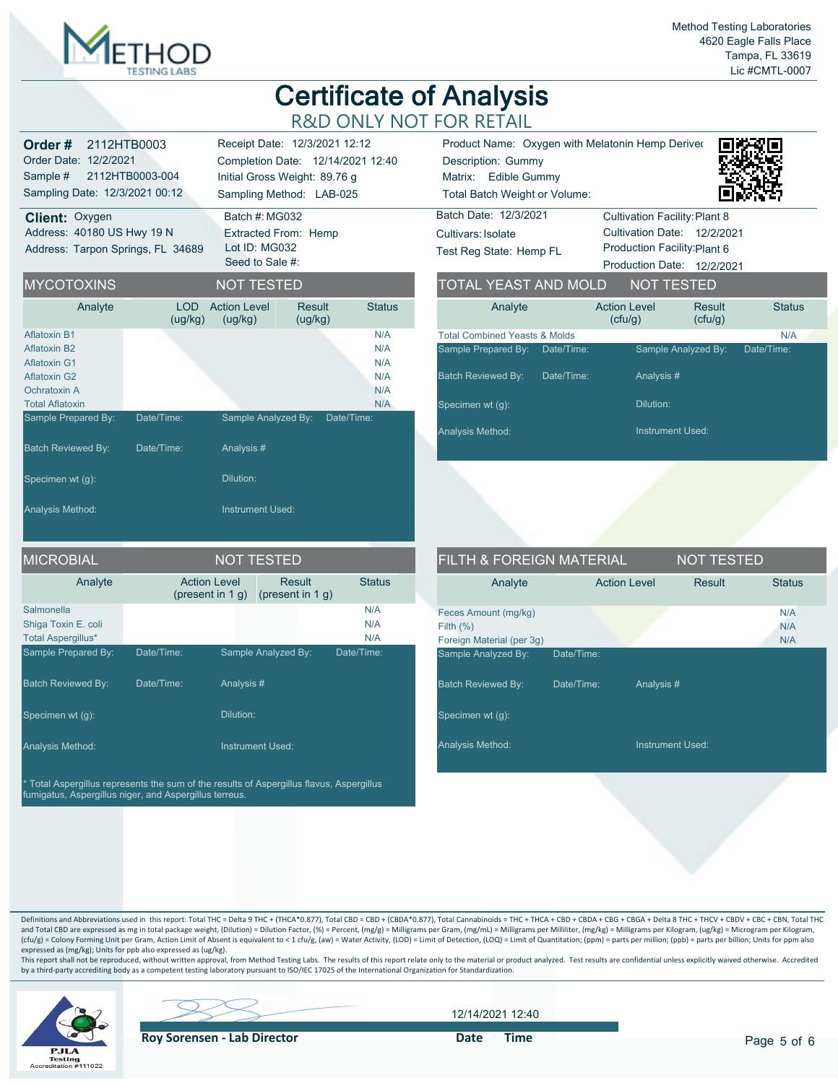

| Order#<br>2112HTB0003<br>Order Date: 12/2/2021<br>Sample #<br>Sampling Date: 12/3/2021 00:12<br><b>Client: Oxygen</b><br>Address: 40180 US Hwy 19 N<br>Address: Tarpon Springs, FL 34689 | 2112HTB0003-004       | Batch #: MG032<br>Extracted From: Hemp<br>Lot ID: MG032<br>Seed to Sale #: | Receipt Date: 12/3/2021 12:12<br>Completion Date: 12/14/2021 12:40<br>Initial Gross Weight: 89.76 g<br>Sampling Method: LAB-025 |                                        | Product Name: Oxyg<br>Description: Gummy<br>Matrix: Edible Gumi<br><b>Total Batch Weight or</b><br>Batch Date: 12/3/2021<br>Cultivars: Isolate<br>Test Reg State: Hemp |
|------------------------------------------------------------------------------------------------------------------------------------------------------------------------------------------|-----------------------|----------------------------------------------------------------------------|---------------------------------------------------------------------------------------------------------------------------------|----------------------------------------|------------------------------------------------------------------------------------------------------------------------------------------------------------------------|
| <b>MYCOTOXINS</b>                                                                                                                                                                        |                       | <b>NOT TESTED</b>                                                          |                                                                                                                                 |                                        | <b>TOTAL YEAST AN</b>                                                                                                                                                  |
| Analyte                                                                                                                                                                                  | <b>LOD</b><br>(ug/kg) | <b>Action Level</b><br>(ug/kg)                                             | Result<br>(ug/kg)                                                                                                               | <b>Status</b>                          | Analyte                                                                                                                                                                |
| Aflatoxin B1<br>Aflatoxin B2<br><b>Aflatoxin G1</b><br>Aflatoxin G2<br>Ochratoxin A<br><b>Total Aflatoxin</b>                                                                            |                       |                                                                            |                                                                                                                                 | N/A<br>N/A<br>N/A<br>N/A<br>N/A<br>N/A | <b>Total Combined Yeasts &amp;</b><br>Sample Prepared By:<br>D<br><b>Batch Reviewed By:</b><br>D<br>Specimen wt (g):                                                   |
| Sample Prepared By:                                                                                                                                                                      | Date/Time:            | Sample Analyzed By:                                                        | Date/Time:                                                                                                                      |                                        | Analysis Method:                                                                                                                                                       |
| <b>Batch Reviewed By:</b>                                                                                                                                                                | Date/Time:            | Analysis #                                                                 |                                                                                                                                 |                                        |                                                                                                                                                                        |
| Specimen wt (g):                                                                                                                                                                         |                       | Dilution:                                                                  |                                                                                                                                 |                                        |                                                                                                                                                                        |
| Analysis Method:                                                                                                                                                                         |                       | <b>Instrument Used:</b>                                                    |                                                                                                                                 |                                        |                                                                                                                                                                        |
| <b>MICROBIAI</b>                                                                                                                                                                         |                       | NOT TESTED                                                                 |                                                                                                                                 |                                        | FILTH & FORFIG                                                                                                                                                         |

| <b>MICROBIAL</b>                                               |                                            |           | <b>NOT TESTED</b>                    |                   |
|----------------------------------------------------------------|--------------------------------------------|-----------|--------------------------------------|-------------------|
| Analyte                                                        | <b>Action Level</b><br>(present in $1 q$ ) |           | <b>Result</b><br>(present in $1 q$ ) | <b>Status</b>     |
| Salmonella<br>Shiga Toxin E. coli<br><b>Total Aspergillus*</b> |                                            |           |                                      | N/A<br>N/A<br>N/A |
| Sample Prepared By:                                            | Date/Time:                                 |           | Sample Analyzed By:                  | Date/Time:        |
| <b>Batch Reviewed By:</b>                                      | Date/Time:                                 | Analysis# |                                      |                   |
| Specimen wt (q):                                               |                                            | Dilution: |                                      |                   |
| <b>Analysis Method:</b>                                        |                                            |           | <b>Instrument Used:</b>              |                   |

\* Total Aspergillus represents the sum of the results of Aspergillus flavus, Aspergillus fumigatus, Aspergillus niger, and Aspergillus terreus.

|                                          | Product Name: Oxygen with Melatonin Hemp Deriver |                            |               |
|------------------------------------------|--------------------------------------------------|----------------------------|---------------|
| Description: Gummy                       |                                                  |                            |               |
| Matrix: Edible Gummy                     |                                                  |                            |               |
| Total Batch Weight or Volume:            |                                                  |                            |               |
| Batch Date: 12/3/2021                    | <b>Cultivation Facility: Plant 8</b>             |                            |               |
| Cultivars Isolate                        | Cultivation Date: 12/2/2021                      |                            |               |
| Test Reg State: Hemp FL                  | Production Facility: Plant 6                     |                            |               |
|                                          |                                                  |                            |               |
|                                          |                                                  | Production Date: 12/2/2021 |               |
| <b>TOTAL YEAST AND MOLD</b>              |                                                  | <b>NOT TESTED</b>          |               |
| Analyte                                  | <b>Action Level</b><br>(ctu/g)                   | <b>Result</b><br>(ctu/g)   | <b>Status</b> |
| <b>Total Combined Yeasts &amp; Molds</b> |                                                  |                            | N/A           |
| Sample Prepared By: Date/Time:           |                                                  | Sample Analyzed By:        | Date/Time:    |

Dilution:

Analysis Method: **Instrument Used:** Instrument Used:

| <b>FILTH &amp; FOREIGN MATERIAL</b>                              |                         | <b>NOT TESTED</b> |                   |
|------------------------------------------------------------------|-------------------------|-------------------|-------------------|
| Analyte                                                          | <b>Action Level</b>     | Result            | <b>Status</b>     |
| Feces Amount (mg/kg)<br>Filth $(%)$<br>Foreign Material (per 3q) |                         |                   | N/A<br>N/A<br>N/A |
| Sample Analyzed By:                                              | Date/Time:              |                   |                   |
| <b>Batch Reviewed By:</b>                                        | Date/Time:<br>Analysis# |                   |                   |
| Specimen wt (q):                                                 |                         |                   |                   |
| <b>Analysis Method:</b>                                          |                         | Instrument Used:  |                   |

Definitions and Abbreviations used in this report: Total THC = Delta 9 THC + (THCA\*0.877), Total CBD = CBD + (CBDA\*0.877), Total Cannabinoids = THC + THCA + CBD + CBDA + CBGA + CBGA + Delta 8 THC + THCV + CBDV + CBC + CBN, and Total CBD are expressed as mg in total package weight, (Dilution) = Dilution Factor, (%) = Percent, (mg/g) = Milligrams per Gram, (mg/mL) = Milligrams per Milliiter, (mg/kg) = Milligrams per Kilogram, (ug/kg) = Microgr expressed as (mg/kg); Units for ppb also expressed as (ug/kg).

This report shall not be reproduced, without written approval, from Method Testing Labs. The results of this report relate only to the material or product analyzed. Test results are confidential unless explicitly waived ot



12/14/2021 12:40

**Roy Sorensen - Lab Director Container Solution Container Solution Container Solution Container Solution Container Solution Container Solution Container Solution Container Solution Container Solution Container Solution C**